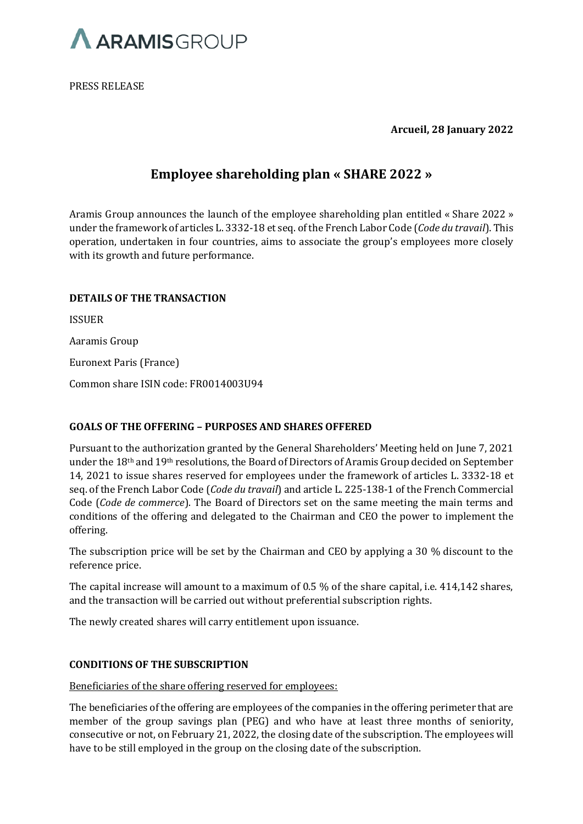

PRESS RELEASE

**Arcueil, 28 January 2022**

# **Employee shareholding plan « SHARE 2022 »**

Aramis Group announces the launch of the employee shareholding plan entitled « Share 2022 » under the framework of articles L. 3332-18 et seq. of the French Labor Code (*Code du travail*). This operation, undertaken in four countries, aims to associate the group's employees more closely with its growth and future performance.

## **DETAILS OF THE TRANSACTION**

ISSUER Aaramis Group Euronext Paris (France)

Common share ISIN code: FR0014003U94

## **GOALS OF THE OFFERING – PURPOSES AND SHARES OFFERED**

Pursuant to the authorization granted by the General Shareholders' Meeting held on June 7, 2021 under the 18th and 19th resolutions, the Board of Directors of Aramis Group decided on September 14, 2021 to issue shares reserved for employees under the framework of articles L. 3332-18 et seq. of the French Labor Code (*Code du travail*) and article L. 225-138-1 of the French Commercial Code (*Code de commerce*). The Board of Directors set on the same meeting the main terms and conditions of the offering and delegated to the Chairman and CEO the power to implement the offering.

The subscription price will be set by the Chairman and CEO by applying a 30 % discount to the reference price.

The capital increase will amount to a maximum of 0.5 % of the share capital, i.e. 414,142 shares, and the transaction will be carried out without preferential subscription rights.

The newly created shares will carry entitlement upon issuance.

## **CONDITIONS OF THE SUBSCRIPTION**

Beneficiaries of the share offering reserved for employees:

The beneficiaries of the offering are employees of the companies in the offering perimeter that are member of the group savings plan (PEG) and who have at least three months of seniority, consecutive or not, on February 21, 2022, the closing date of the subscription. The employees will have to be still employed in the group on the closing date of the subscription.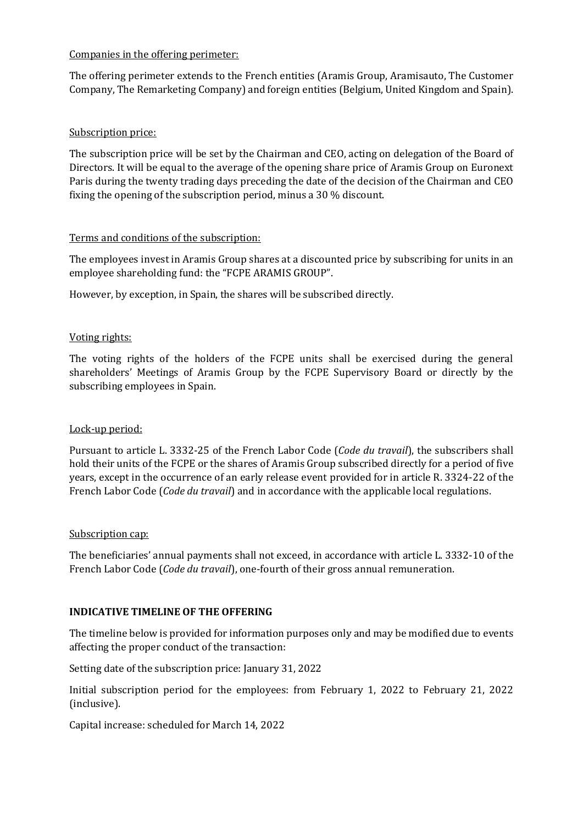## Companies in the offering perimeter:

The offering perimeter extends to the French entities (Aramis Group, Aramisauto, The Customer Company, The Remarketing Company) and foreign entities (Belgium, United Kingdom and Spain).

## Subscription price:

The subscription price will be set by the Chairman and CEO, acting on delegation of the Board of Directors. It will be equal to the average of the opening share price of Aramis Group on Euronext Paris during the twenty trading days preceding the date of the decision of the Chairman and CEO fixing the opening of the subscription period, minus a 30 % discount.

## Terms and conditions of the subscription:

The employees invest in Aramis Group shares at a discounted price by subscribing for units in an employee shareholding fund: the "FCPE ARAMIS GROUP".

However, by exception, in Spain, the shares will be subscribed directly.

## Voting rights:

The voting rights of the holders of the FCPE units shall be exercised during the general shareholders' Meetings of Aramis Group by the FCPE Supervisory Board or directly by the subscribing employees in Spain.

## Lock-up period:

Pursuant to article L. 3332-25 of the French Labor Code (*Code du travail*), the subscribers shall hold their units of the FCPE or the shares of Aramis Group subscribed directly for a period of five years, except in the occurrence of an early release event provided for in article R. 3324-22 of the French Labor Code (*Code du travail*) and in accordance with the applicable local regulations.

## Subscription cap:

The beneficiaries' annual payments shall not exceed, in accordance with article L. 3332-10 of the French Labor Code (*Code du travail*), one-fourth of their gross annual remuneration.

## **INDICATIVE TIMELINE OF THE OFFERING**

The timeline below is provided for information purposes only and may be modified due to events affecting the proper conduct of the transaction:

Setting date of the subscription price: January 31, 2022

Initial subscription period for the employees: from February 1, 2022 to February 21, 2022 (inclusive).

Capital increase: scheduled for March 14, 2022